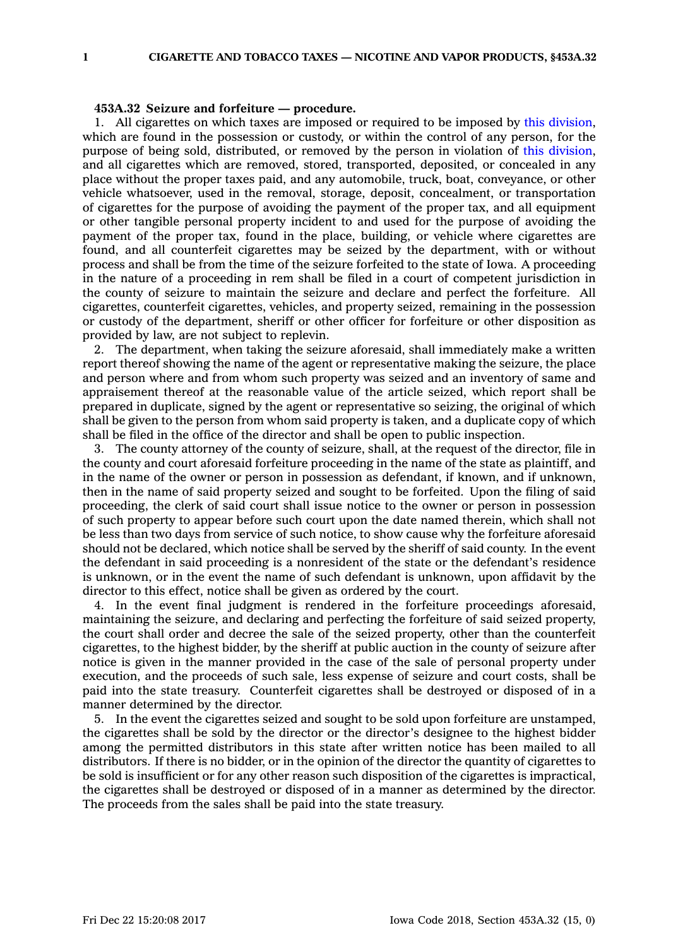## **453A.32 Seizure and forfeiture — procedure.**

1. All cigarettes on which taxes are imposed or required to be imposed by this [division](https://www.legis.iowa.gov/docs/code//453A.pdf), which are found in the possession or custody, or within the control of any person, for the purpose of being sold, distributed, or removed by the person in violation of this [division](https://www.legis.iowa.gov/docs/code//453A.pdf), and all cigarettes which are removed, stored, transported, deposited, or concealed in any place without the proper taxes paid, and any automobile, truck, boat, conveyance, or other vehicle whatsoever, used in the removal, storage, deposit, concealment, or transportation of cigarettes for the purpose of avoiding the payment of the proper tax, and all equipment or other tangible personal property incident to and used for the purpose of avoiding the payment of the proper tax, found in the place, building, or vehicle where cigarettes are found, and all counterfeit cigarettes may be seized by the department, with or without process and shall be from the time of the seizure forfeited to the state of Iowa. A proceeding in the nature of <sup>a</sup> proceeding in rem shall be filed in <sup>a</sup> court of competent jurisdiction in the county of seizure to maintain the seizure and declare and perfect the forfeiture. All cigarettes, counterfeit cigarettes, vehicles, and property seized, remaining in the possession or custody of the department, sheriff or other officer for forfeiture or other disposition as provided by law, are not subject to replevin.

2. The department, when taking the seizure aforesaid, shall immediately make <sup>a</sup> written report thereof showing the name of the agent or representative making the seizure, the place and person where and from whom such property was seized and an inventory of same and appraisement thereof at the reasonable value of the article seized, which report shall be prepared in duplicate, signed by the agent or representative so seizing, the original of which shall be given to the person from whom said property is taken, and <sup>a</sup> duplicate copy of which shall be filed in the office of the director and shall be open to public inspection.

3. The county attorney of the county of seizure, shall, at the request of the director, file in the county and court aforesaid forfeiture proceeding in the name of the state as plaintiff, and in the name of the owner or person in possession as defendant, if known, and if unknown, then in the name of said property seized and sought to be forfeited. Upon the filing of said proceeding, the clerk of said court shall issue notice to the owner or person in possession of such property to appear before such court upon the date named therein, which shall not be less than two days from service of such notice, to show cause why the forfeiture aforesaid should not be declared, which notice shall be served by the sheriff of said county. In the event the defendant in said proceeding is <sup>a</sup> nonresident of the state or the defendant's residence is unknown, or in the event the name of such defendant is unknown, upon affidavit by the director to this effect, notice shall be given as ordered by the court.

4. In the event final judgment is rendered in the forfeiture proceedings aforesaid, maintaining the seizure, and declaring and perfecting the forfeiture of said seized property, the court shall order and decree the sale of the seized property, other than the counterfeit cigarettes, to the highest bidder, by the sheriff at public auction in the county of seizure after notice is given in the manner provided in the case of the sale of personal property under execution, and the proceeds of such sale, less expense of seizure and court costs, shall be paid into the state treasury. Counterfeit cigarettes shall be destroyed or disposed of in <sup>a</sup> manner determined by the director.

5. In the event the cigarettes seized and sought to be sold upon forfeiture are unstamped, the cigarettes shall be sold by the director or the director's designee to the highest bidder among the permitted distributors in this state after written notice has been mailed to all distributors. If there is no bidder, or in the opinion of the director the quantity of cigarettes to be sold is insufficient or for any other reason such disposition of the cigarettes is impractical, the cigarettes shall be destroyed or disposed of in <sup>a</sup> manner as determined by the director. The proceeds from the sales shall be paid into the state treasury.